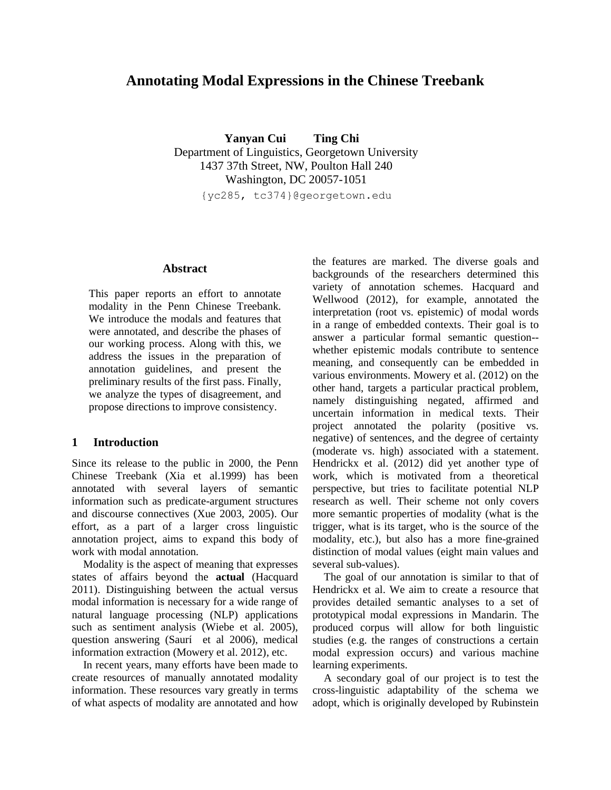# **Annotating Modal Expressions in the Chinese Treebank**

 **Yanyan Cui Ting Chi** Department of Linguistics, Georgetown University 1437 37th Street, NW, Poulton Hall 240 Washington, DC 20057-1051

{yc285, tc374}@georgetown.edu

### **Abstract**

This paper reports an effort to annotate modality in the Penn Chinese Treebank. We introduce the modals and features that were annotated, and describe the phases of our working process. Along with this, we address the issues in the preparation of annotation guidelines, and present the preliminary results of the first pass. Finally, we analyze the types of disagreement, and propose directions to improve consistency.

#### **1 Introduction**

Since its release to the public in 2000, the Penn Chinese Treebank (Xia et al.1999) has been annotated with several layers of semantic information such as predicate-argument structures and discourse connectives (Xue 2003, 2005). Our effort, as a part of a larger cross linguistic annotation project, aims to expand this body of work with modal annotation.

Modality is the aspect of meaning that expresses states of affairs beyond the **actual** (Hacquard 2011). Distinguishing between the actual versus modal information is necessary for a wide range of natural language processing (NLP) applications such as sentiment analysis (Wiebe et al. 2005), question answering (Saurí et al 2006), medical information extraction (Mowery et al. 2012), etc.

In recent years, many efforts have been made to create resources of manually annotated modality information. These resources vary greatly in terms of what aspects of modality are annotated and how

the features are marked. The diverse goals and backgrounds of the researchers determined this variety of annotation schemes. Hacquard and Wellwood (2012), for example, annotated the interpretation (root vs. epistemic) of modal words in a range of embedded contexts. Their goal is to answer a particular formal semantic question- whether epistemic modals contribute to sentence meaning, and consequently can be embedded in various environments. Mowery et al. (2012) on the other hand, targets a particular practical problem, namely distinguishing negated, affirmed and uncertain information in medical texts. Their project annotated the polarity (positive vs. negative) of sentences, and the degree of certainty (moderate vs. high) associated with a statement. Hendrickx et al. (2012) did yet another type of work, which is motivated from a theoretical perspective, but tries to facilitate potential NLP research as well. Their scheme not only covers more semantic properties of modality (what is the trigger, what is its target, who is the source of the modality, etc.), but also has a more fine-grained distinction of modal values (eight main values and several sub-values).

The goal of our annotation is similar to that of Hendrickx et al. We aim to create a resource that provides detailed semantic analyses to a set of prototypical modal expressions in Mandarin. The produced corpus will allow for both linguistic studies (e.g. the ranges of constructions a certain modal expression occurs) and various machine learning experiments.

A secondary goal of our project is to test the cross-linguistic adaptability of the schema we adopt, which is originally developed by Rubinstein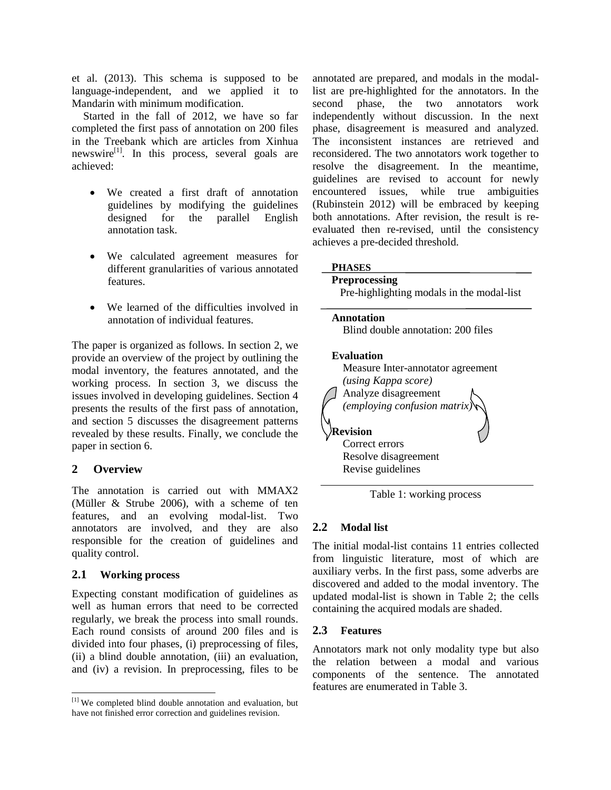et al. (2013). This schema is supposed to be language-independent, and we applied it to Mandarin with minimum modification.

Started in the fall of 2012, we have so far completed the first pass of annotation on 200 files in the Treebank which are articles from Xinhua newswire<sup>[1]</sup>. In this process, several goals are achieved:

- We created a first draft of annotation guidelines by modifying the guidelines designed for the parallel English annotation task.
- We calculated agreement measures for different granularities of various annotated features.
- We learned of the difficulties involved in annotation of individual features.

The paper is organized as follows. In section 2, we provide an overview of the project by outlining the modal inventory, the features annotated, and the working process. In section 3, we discuss the issues involved in developing guidelines. Section 4 presents the results of the first pass of annotation, and section 5 discusses the disagreement patterns revealed by these results. Finally, we conclude the paper in section 6.

# **2 Overview**

The annotation is carried out with MMAX2 (Müller & Strube 2006), with a scheme of ten features, and an evolving modal-list. Two annotators are involved, and they are also responsible for the creation of guidelines and quality control.

# **2.1 Working process**

Expecting constant modification of guidelines as well as human errors that need to be corrected regularly, we break the process into small rounds. Each round consists of around 200 files and is divided into four phases, (i) preprocessing of files, (ii) a blind double annotation, (iii) an evaluation, and (iv) a revision. In preprocessing, files to be annotated are prepared, and modals in the modallist are pre-highlighted for the annotators. In the second phase, the two annotators work independently without discussion. In the next phase, disagreement is measured and analyzed. The inconsistent instances are retrieved and reconsidered. The two annotators work together to resolve the disagreement. In the meantime, guidelines are revised to account for newly encountered issues, while true ambiguities (Rubinstein 2012) will be embraced by keeping both annotations. After revision, the result is reevaluated then re-revised, until the consistency achieves a pre-decided threshold.

### **PHASES**

#### **Preprocessing**  Pre-highlighting modals in the modal-list

#### **Annotation**

Blind double annotation: 200 files

### **Evaluation**



Table 1: working process

# **2.2 Modal list**

The initial modal-list contains 11 entries collected from linguistic literature, most of which are auxiliary verbs. In the first pass, some adverbs are discovered and added to the modal inventory. The updated modal-list is shown in Table 2; the cells containing the acquired modals are shaded.

# **2.3 Features**

Annotators mark not only modality type but also the relation between a modal and various components of the sentence. The annotated features are enumerated in Table 3.

 $\overline{a}$ <sup>[1]</sup> We completed blind double annotation and evaluation, but have not finished error correction and guidelines revision.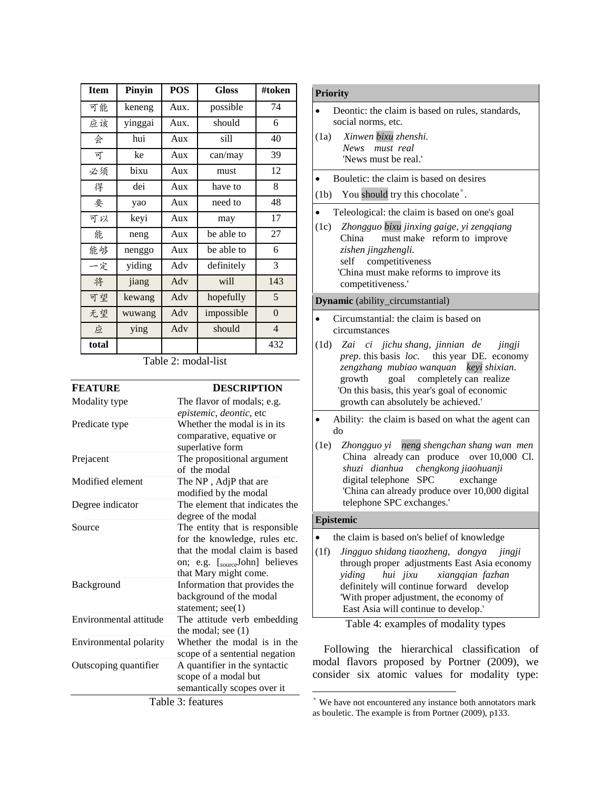| <b>Item</b> | Pinyin  | <b>POS</b> | <b>Gloss</b> | #token           |
|-------------|---------|------------|--------------|------------------|
| 可能          | keneng  | Aux.       | possible     | 74               |
| 应该          | yinggai | Aux.       | should       | 6                |
| 会           | hui     | Aux        | sill         | 40               |
| 可           | ke      | Aux        | can/may      | 39               |
| 必须          | bixu    | Aux        | must         | 12               |
| 得           | dei     | Aux        | have to      | 8                |
| 要           | yao     | Aux        | need to      | 48               |
| 可以          | keyi    | Aux        | may          | 17               |
| 能           | neng    | Aux        | be able to   | 27               |
| 能够          | nenggo  | Aux        | be able to   | 6                |
| 一定          | yiding  | Adv        | definitely   | 3                |
| 将           | jiang   | Adv        | will         | 143              |
| 可望          | kewang  | Adv        | hopefully    | 5                |
| 无望          | wuwang  | $\rm{Adv}$ | impossible   | $\boldsymbol{0}$ |
| 应           | ying    | Adv        | should       | $\overline{4}$   |
| total       |         |            |              | 432              |

Table 2: modal-list

| <b>FEATURE</b>         | <b>DESCRIPTION</b>             |
|------------------------|--------------------------------|
| Modality type          | The flavor of modals; e.g.     |
|                        | epistemic, deontic, etc        |
| Predicate type         | Whether the modal is in its    |
|                        | comparative, equative or       |
|                        | superlative form               |
| Prejacent              | The propositional argument     |
|                        | of the modal                   |
| Modified element       | The NP, AdjP that are          |
|                        | modified by the modal          |
| Degree indicator       | The element that indicates the |
|                        | degree of the modal            |
| Source                 | The entity that is responsible |
|                        | for the knowledge, rules etc.  |
|                        | that the modal claim is based  |
|                        | on; e.g. [sourceJohn] believes |
|                        | that Mary might come.          |
| Background             | Information that provides the  |
|                        | background of the modal        |
|                        | statement; see(1)              |
| Environmental attitude | The attitude verb embedding    |
|                        | the modal; see $(1)$           |
| Environmental polarity | Whether the modal is in the    |
|                        | scope of a sentential negation |
| Outscoping quantifier  | A quantifier in the syntactic  |
|                        | scope of a modal but           |
|                        |                                |
|                        | semantically scopes over it    |
|                        | Table 3: features              |

### **Priority**

- Deontic: the claim is based on rules, standards, social norms, etc.
- (1a) *Xinwen bixu zhenshi. News must real* 'News must be real.'
- Bouletic: the claim is based on desires
- (1b) You should try this chocolate\* .
- Teleological: the claim is based on one's goal
- (1c) *Zhongguo bixu jinxing gaige, yi zengqiang*  China must make reform to improve  *zishen jingzhengli.* self competitiveness 'China must make reforms to improve its competitiveness.'

#### **Dynamic** (ability\_circumstantial)

- Circumstantial: the claim is based on circumstances
- (1d) *Zai ci jichu shang, jinnian de jingji prep.* this basis *loc.* this year DE*.* economy  *zengzhang mubiao wanquan keyi shixian*. growth goal completely can realize 'On this basis, this year's goal of economic growth can absolutely be achieved.'
- Ability: the claim is based on what the agent can do
- (1e) *Zhongguo yi neng shengchan shang wan men*  China already can produce over 10,000 Cl. *shuzi dianhua chengkong jiaohuanji* digital telephone SPC exchange 'China can already produce over 10,000 digital telephone SPC exchanges.'

#### **Epistemic**

 $\overline{a}$ 

- the claim is based on's belief of knowledge
- (1f) *Jingguo shidang tiaozheng, dongya jingji*  through proper adjustments East Asia economy *yiding hui jixu xiangqian fazhan* definitely will continue forward develop 'With proper adjustment, the economy of East Asia will continue to develop.'

| Table 4: examples of modality types |  |
|-------------------------------------|--|
|                                     |  |

Following the hierarchical classification of modal flavors proposed by Portner (2009), we consider six atomic values for modality type:

<sup>\*</sup> We have not encountered any instance both annotators mark as bouletic. The example is from Portner (2009), p133.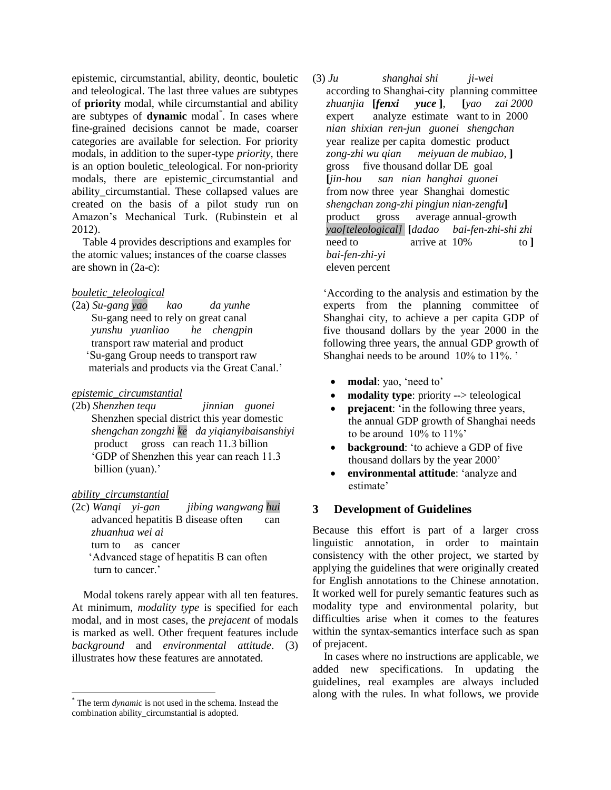epistemic, circumstantial, ability, deontic, bouletic and teleological. The last three values are subtypes of **priority** modal, while circumstantial and ability are subtypes of **dynamic** modal\* . In cases where fine-grained decisions cannot be made, coarser categories are available for selection. For priority modals, in addition to the super-type *priority*, there is an option bouletic teleological. For non-priority modals, there are epistemic circumstantial and ability circumstantial. These collapsed values are created on the basis of a pilot study run on Amazon"s Mechanical Turk. (Rubinstein et al 2012).

 Table 4 provides descriptions and examples for the atomic values; instances of the coarse classes are shown in (2a-c):

### *bouletic\_teleological*

(2a) *Su-gang yao kao da yunhe* Su-gang need to rely on great canal  *yunshu yuanliao he chengpin* transport raw material and product "Su-gang Group needs to transport raw materials and products via the Great Canal."

# *epistemic\_circumstantial*

(2b) *Shenzhen tequ jinnian guonei* Shenzhen special district this year domestic *shengchan zongzhi ke da yiqianyibaisanshiyi* product gross can reach 11.3 billion "GDP of Shenzhen this year can reach 11.3 billion (yuan).'

# *ability\_circumstantial*

 $\overline{a}$ 

(2c) *Wanqi yi-gan jibing wangwang hui* advanced hepatitis B disease often can  *zhuanhua wei ai* turn to as cancer "Advanced stage of hepatitis B can often turn to cancer.'

Modal tokens rarely appear with all ten features. At minimum, *modality type* is specified for each modal, and in most cases, the *prejacent* of modals is marked as well. Other frequent features include *background* and *environmental attitude*. (3) illustrates how these features are annotated.

(3) *Ju shanghai shi ji-wei* according to Shanghai-city planning committee *zhuanjia* **[***fenxi yuce* **]***,* **[***yao zai 2000* expert analyze estimate want to in 2000 *nian shixian ren-jun guonei shengchan*  year realize per capita domestic product  *zong-zhi wu qian meiyuan de mubiao*, **]** gross five thousand dollar DE goal **[***jin-hou san nian hanghai guonei*  from now three year Shanghai domestic  *shengchan zong-zhi pingjun nian-zengfu***]** product gross average annual-growth *yao[teleological]* **[***dadao bai-fen-zhi-shi zhi* need to arrive at 10% to 1 *bai-fen-zhi-yi* eleven percent

"According to the analysis and estimation by the experts from the planning committee of Shanghai city, to achieve a per capita GDP of five thousand dollars by the year 2000 in the following three years, the annual GDP growth of Shanghai needs to be around 10% to 11%.

- modal: yao, 'need to'
- **modality type**: priority --> teleological
- **prejacent:** 'in the following three years, the annual GDP growth of Shanghai needs to be around  $10\%$  to  $11\%$
- **background**: "to achieve a GDP of five thousand dollars by the year 2000"
- **environmental attitude**: "analyze and estimate'

# **3 Development of Guidelines**

Because this effort is part of a larger cross linguistic annotation, in order to maintain consistency with the other project, we started by applying the guidelines that were originally created for English annotations to the Chinese annotation. It worked well for purely semantic features such as modality type and environmental polarity, but difficulties arise when it comes to the features within the syntax-semantics interface such as span of prejacent.

In cases where no instructions are applicable, we added new specifications. In updating the guidelines, real examples are always included along with the rules. In what follows, we provide

<sup>\*</sup> The term *dynamic* is not used in the schema. Instead the combination ability\_circumstantial is adopted.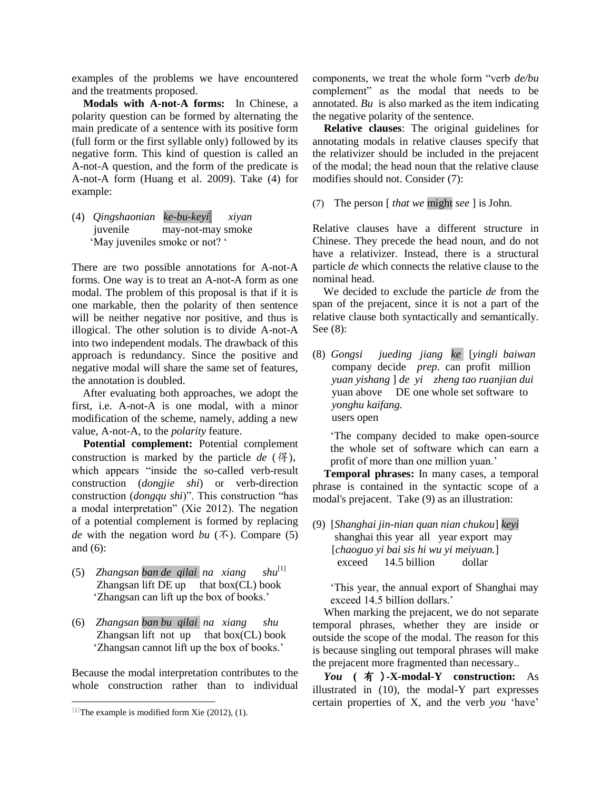examples of the problems we have encountered and the treatments proposed.

**Modals with A-not-A forms:** In Chinese, a polarity question can be formed by alternating the main predicate of a sentence with its positive form (full form or the first syllable only) followed by its negative form. This kind of question is called an A-not-A question, and the form of the predicate is A-not-A form (Huang et al. 2009). Take (4) for example:

(4) *Qingshaonian ke-bu-keyi xiyan*  juvenile may-not-may smoke 'May juveniles smoke or not? "

There are two possible annotations for A-not-A forms. One way is to treat an A-not-A form as one modal. The problem of this proposal is that if it is one markable, then the polarity of then sentence will be neither negative nor positive, and thus is illogical. The other solution is to divide A-not-A into two independent modals. The drawback of this approach is redundancy. Since the positive and negative modal will share the same set of features, the annotation is doubled.

 After evaluating both approaches, we adopt the first, i.e. A-not-A is one modal, with a minor modification of the scheme, namely, adding a new value, A-not-A, to the *polarity* feature.

**Potential complement:** Potential complement construction is marked by the particle *de* (得), which appears "inside the so-called verb-result construction (*dongjie shi*) or verb-direction construction (*dongqu shi*)". This construction "has a modal interpretation" (Xie 2012). The negation of a potential complement is formed by replacing *de* with the negation word *bu* ( $\bar{\Lambda}$ ). Compare (5) and (6):

- (5) *Zhangsan ban de qilai na xiang shu*[1] Zhangsan lift  $DE$  up that box $(CL)$  book "Zhangsan can lift up the box of books."
- (6) *Zhangsan ban bu qilai na xiang shu* Zhangsan lift not up that  $box(CL)$  book 'Zhangsan cannot lift up the box of books.'

Because the modal interpretation contributes to the whole construction rather than to individual

 $\overline{a}$ 

components, we treat the whole form "verb *de/bu* complement" as the modal that needs to be annotated. *Bu* is also marked as the item indicating the negative polarity of the sentence.

**Relative clauses**: The original guidelines for annotating modals in relative clauses specify that the relativizer should be included in the prejacent of the modal; the head noun that the relative clause modifies should not. Consider (7):

(7) The person [ *that we* might *see* ] is John.

Relative clauses have a different structure in Chinese. They precede the head noun, and do not have a relativizer. Instead, there is a structural particle *de* which connects the relative clause to the nominal head.

 We decided to exclude the particle *de* from the span of the prejacent, since it is not a part of the relative clause both syntactically and semantically. See (8):

(8) *Gongsi jueding jiang ke* [*yingli baiwan*  company decide *prep*. can profit million *yuan yishang* ] *de yi zheng tao ruanjian dui*  vuan above DE one whole set software to  *yonghu kaifang.* users open

"The company decided to make open-source the whole set of software which can earn a profit of more than one million yuan.'

**Temporal phrases:** In many cases, a temporal phrase is contained in the syntactic scope of a modal's prejacent. Take (9) as an illustration:

(9) [*Shanghai jin-nian quan nian chukou*] *keyi* shanghai this year all year export may [*chaoguo yi bai sis hi wu yi meiyuan.*] exceed 14.5 billion dollar

"This year, the annual export of Shanghai may exceed 14.5 billion dollars.'

When marking the prejacent, we do not separate temporal phrases, whether they are inside or outside the scope of the modal. The reason for this is because singling out temporal phrases will make the prejacent more fragmented than necessary..

*You* **(** 有 )**-X-modal-Y construction:** As illustrated in (10), the modal-Y part expresses certain properties of X, and the verb *you* "have"

 $[1]$ The example is modified form Xie (2012), (1).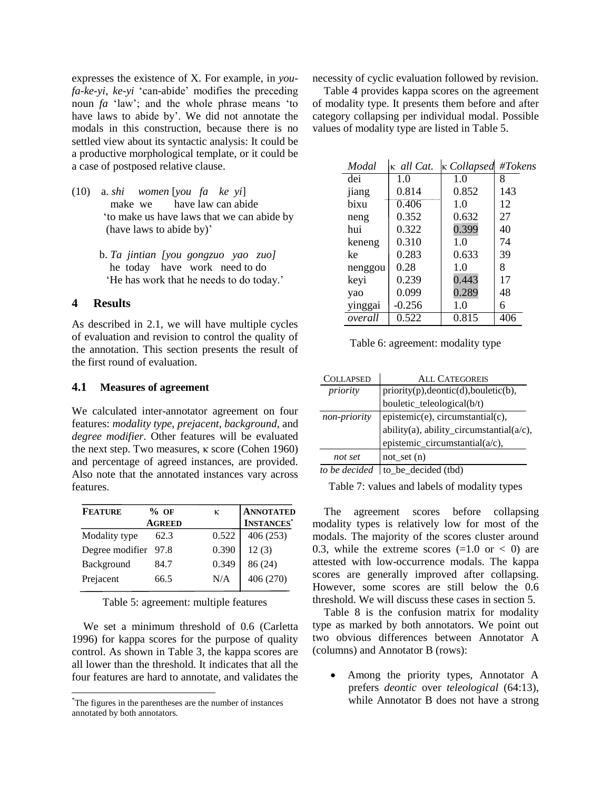expresses the existence of X. For example, in *youfa-ke-yi*, *ke-yi* "can-abide" modifies the preceding noun *fa* "law"; and the whole phrase means "to have laws to abide by'. We did not annotate the modals in this construction, because there is no settled view about its syntactic analysis: It could be a productive morphological template, or it could be a case of postposed relative clause.

- (10) a. *shi women* [*you fa ke yi*] make we have law can abide "to make us have laws that we can abide by (have laws to abide by)'
	- b. *Ta jintian [you gongzuo yao zuo]* he today have work need to do 'He has work that he needs to do today.'

# **4 Results**

 $\overline{a}$ 

As described in 2.1, we will have multiple cycles of evaluation and revision to control the quality of the annotation. This section presents the result of the first round of evaluation.

### **4.1 Measures of agreement**

We calculated inter-annotator agreement on four features: *modality type*, *prejacent*, *background*, and *degree modifier*. Other features will be evaluated the next step. Two measures, κ score (Cohen 1960) and percentage of agreed instances, are provided. Also note that the annotated instances vary across features.

| <b>FEATURE</b>       | $%$ OF        | к     | <b>ANNOTATED</b>  |
|----------------------|---------------|-------|-------------------|
|                      | <b>AGREED</b> |       | <b>INSTANCES*</b> |
| Modality type        | 62.3          | 0.522 | 406(253)          |
| Degree modifier 97.8 |               | 0.390 | 12(3)             |
| Background           | 84.7          | 0.349 | 86 (24)           |
| Prejacent            | 66.5          | N/A   | 406 (270)         |
|                      |               |       |                   |

Table 5: agreement: multiple features

We set a minimum threshold of 0.6 (Carletta 1996) for kappa scores for the purpose of quality control. As shown in Table 3, the kappa scores are all lower than the threshold. It indicates that all the four features are hard to annotate, and validates the

necessity of cyclic evaluation followed by revision.

Table 4 provides kappa scores on the agreement of modality type. It presents them before and after category collapsing per individual modal. Possible values of modality type are listed in Table 5.

| Modal   | κ all Cat. | $\kappa$ Collapsed | #Tokens     |
|---------|------------|--------------------|-------------|
| dei     | 1.0        | 1.0                | 8           |
| jiang   | 0.814      | 0.852              | 143         |
| bixu    | 0.406      | 1.0                | 12          |
| neng    | 0.352      | 0.632              | 27          |
| hui     | 0.322      | 0.399              | 40          |
| keneng  | 0.310      | 1.0                | 74          |
| ke      | 0.283      | 0.633              | 39          |
| nenggou | 0.28       | 1.0                | 8           |
| keyi    | 0.239      | 0.443              | 17          |
| yao     | 0.099      | 0.289              | 48          |
| yinggai | $-0.256$   | 1.0                | 6           |
| overall | 0.522      | $\overline{0.815}$ | $40\bar{6}$ |

Table 6: agreement: modality type

| <b>COLLAPSED</b> | <b>ALL CATEGOREIS</b>                                                                                     |
|------------------|-----------------------------------------------------------------------------------------------------------|
| priority         |                                                                                                           |
|                  | priority(p),deontic(d),bouletic(b),<br>bouletic_teleological(b/t)                                         |
| non-priority     |                                                                                                           |
|                  | $[epistemic(e), circumstantial(c),ability(a), ability_circumstantial(a/c),epistemic_circumstantial(a/c),$ |
|                  |                                                                                                           |
| not set          | $not_set(n)$                                                                                              |
| to he decided    | to he decided $(Hd)$                                                                                      |

*to be decided* | to be decided (tbd)

Table 7: values and labels of modality types

The agreement scores before collapsing modality types is relatively low for most of the modals. The majority of the scores cluster around 0.3, while the extreme scores  $(=1.0 \text{ or } < 0)$  are attested with low-occurrence modals. The kappa scores are generally improved after collapsing. However, some scores are still below the 0.6 threshold. We will discuss these cases in section 5.

Table 8 is the confusion matrix for modality type as marked by both annotators. We point out two obvious differences between Annotator A (columns) and Annotator B (rows):

 Among the priority types, Annotator A prefers *deontic* over *teleological* (64:13), while Annotator B does not have a strong

<sup>\*</sup>The figures in the parentheses are the number of instances annotated by both annotators.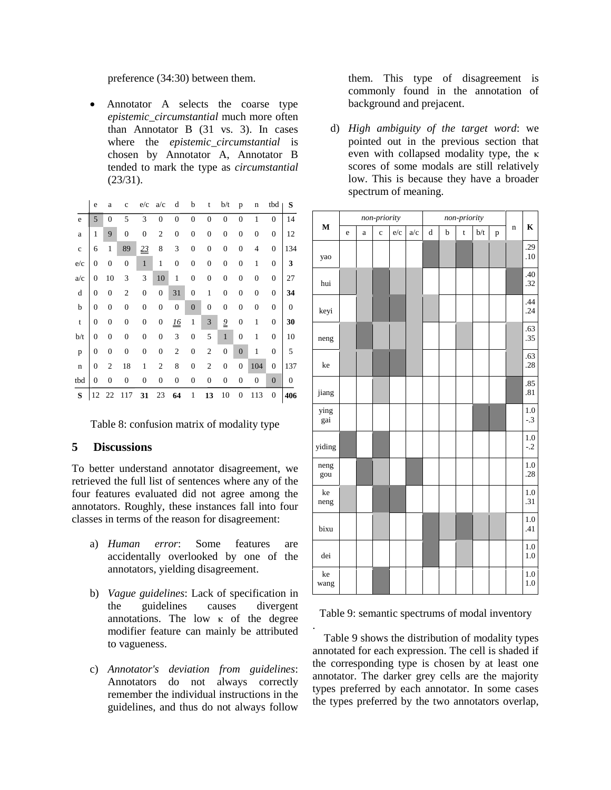preference (34:30) between them.

• Annotator A selects the coarse type *epistemic*\_*circumstantial* much more often than Annotator B (31 vs. 3). In cases where the *epistemic*\_*circumstantial* is chosen by Annotator A, Annotator B tended to mark the type as *circumstantial* (23/31).

|             | e              | a              | $\ddot{c}$     | e/c              | a/c              | d                | b                | t                | b/t            | p              | n              | tbd            | S   |
|-------------|----------------|----------------|----------------|------------------|------------------|------------------|------------------|------------------|----------------|----------------|----------------|----------------|-----|
| e           | 5              | $\overline{0}$ | 5              | 3                | $\theta$         | $\overline{0}$   | $\overline{0}$   | $\theta$         | $\overline{0}$ | $\theta$       | 1              | $\theta$       | 14  |
| a           | 1              | 9              | $\mathbf{0}$   | $\overline{0}$   | $\overline{2}$   | $\boldsymbol{0}$ | $\mathbf{0}$     | $\overline{0}$   | $\mathbf{0}$   | $\overline{0}$ | $\overline{0}$ | $\overline{0}$ | 12  |
| $\mathbf c$ | 6              | 1              | 89             | 23               | 8                | 3                | $\mathbf{0}$     | $\boldsymbol{0}$ | $\mathbf{0}$   | $\overline{0}$ | 4              | $\overline{0}$ | 134 |
| e/c         | $\overline{0}$ | $\mathbf{0}$   | $\mathbf{0}$   | $\mathbf{1}$     | $\mathbf{1}$     | $\boldsymbol{0}$ | $\mathbf{0}$     | $\overline{0}$   | $\mathbf{0}$   | $\overline{0}$ | 1              | $\overline{0}$ | 3   |
| a/c         | $\overline{0}$ | 10             | 3              | 3                | 10               | 1                | $\overline{0}$   | $\overline{0}$   | $\mathbf{0}$   | $\overline{0}$ | $\theta$       | $\overline{0}$ | 27  |
| d           | $\overline{0}$ | 0              | $\mathbf{2}$   | $\mathbf{0}$     | $\overline{0}$   | 31               | $\boldsymbol{0}$ | 1                | $\overline{0}$ | $\overline{0}$ | $\theta$       | $\theta$       | 34  |
| b           | $\overline{0}$ | $\mathbf{0}$   | $\mathbf{0}$   | $\boldsymbol{0}$ | $\overline{0}$   | $\mathbf{0}$     | $\overline{0}$   | $\mathbf{0}$     | $\mathbf{0}$   | $\overline{0}$ | $\overline{0}$ | $\overline{0}$ | 0   |
| t           | $\overline{0}$ | $\mathbf{0}$   | $\mathbf{0}$   | $\overline{0}$   | $\boldsymbol{0}$ | <u>16</u>        | $\mathbf{1}$     | 3                | $\overline{9}$ | $\overline{0}$ | 1              | $\overline{0}$ | 30  |
| b/t         | $\overline{0}$ | 0              | $\mathbf{0}$   | $\overline{0}$   | 0                | 3                | $\overline{0}$   | 5                | $\mathbf{1}$   | $\overline{0}$ | 1              | $\overline{0}$ | 10  |
| p           | $\overline{0}$ | $\mathbf{0}$   | $\overline{0}$ | $\overline{0}$   | 0                | $\overline{2}$   | $\overline{0}$   | $\overline{2}$   | $\overline{0}$ | $\overline{0}$ | 1              | $\overline{0}$ | 5   |
| n           | $\overline{0}$ | $\overline{2}$ | 18             | 1                | $\overline{2}$   | 8                | $\overline{0}$   | $\overline{2}$   | $\overline{0}$ | $\overline{0}$ | 104            | $\overline{0}$ | 137 |
| tbd         | $\overline{0}$ | 0              | 0              | $\overline{0}$   | $\boldsymbol{0}$ | $\boldsymbol{0}$ | 0                | 0                | 0              | $\overline{0}$ | $\overline{0}$ | $\overline{0}$ | 0   |
| S           | 12             | 22             | 117            | 31               | 23               | 64               | 1                | 13               | 10             | 0              | 113            | 0              | 406 |

Table 8: confusion matrix of modality type

### **5 Discussions**

To better understand annotator disagreement, we retrieved the full list of sentences where any of the four features evaluated did not agree among the annotators. Roughly, these instances fall into four classes in terms of the reason for disagreement:

- a) *Human error*: Some features are accidentally overlooked by one of the annotators, yielding disagreement.
- b) *Vague guidelines*: Lack of specification in the guidelines causes divergent annotations. The low  $\kappa$  of the degree modifier feature can mainly be attributed to vagueness.
- c) *Annotator's deviation from guidelines*: Annotators do not always correctly remember the individual instructions in the guidelines, and thus do not always follow

them. This type of disagreement is commonly found in the annotation of background and prejacent.

d) *High ambiguity of the target word*: we pointed out in the previous section that even with collapsed modality type, the κ scores of some modals are still relatively low. This is because they have a broader spectrum of meaning.

|             |   |   | non-priority |     |     |         | non-priority |             |     |   |             |                |
|-------------|---|---|--------------|-----|-----|---------|--------------|-------------|-----|---|-------------|----------------|
| $\mathbf M$ | e | a | $\mathbf c$  | e/c | a/c | $\rm d$ | b            | $\mathbf t$ | b/t | p | $\mathbf n$ | $\bf K$        |
| yao         |   |   |              |     |     |         |              |             |     |   |             | .29<br>.10     |
| hui         |   |   |              |     |     |         |              |             |     |   |             | .40<br>.32     |
| keyi        |   |   |              |     |     |         |              |             |     |   |             | .44<br>.24     |
| neng        |   |   |              |     |     |         |              |             |     |   |             | .63<br>.35     |
| ke          |   |   |              |     |     |         |              |             |     |   |             | .63<br>.28     |
| jiang       |   |   |              |     |     |         |              |             |     |   |             | .85<br>.81     |
| ying<br>gai |   |   |              |     |     |         |              |             |     |   |             | 1.0<br>$-.3$   |
| yiding      |   |   |              |     |     |         |              |             |     |   |             | 1.0<br>$-.2$   |
| neng<br>gou |   |   |              |     |     |         |              |             |     |   |             | 1.0<br>.28     |
| ke<br>neng  |   |   |              |     |     |         |              |             |     |   |             | $1.0\,$<br>.31 |
| bixu        |   |   |              |     |     |         |              |             |     |   |             | 1.0<br>.41     |
| dei         |   |   |              |     |     |         |              |             |     |   |             | 1.0<br>1.0     |
| ke<br>wang  |   |   |              |     |     |         |              |             |     |   |             | $1.0\,$<br>1.0 |

Table 9: semantic spectrums of modal inventory

.

Table 9 shows the distribution of modality types annotated for each expression. The cell is shaded if the corresponding type is chosen by at least one annotator. The darker grey cells are the majority types preferred by each annotator. In some cases the types preferred by the two annotators overlap,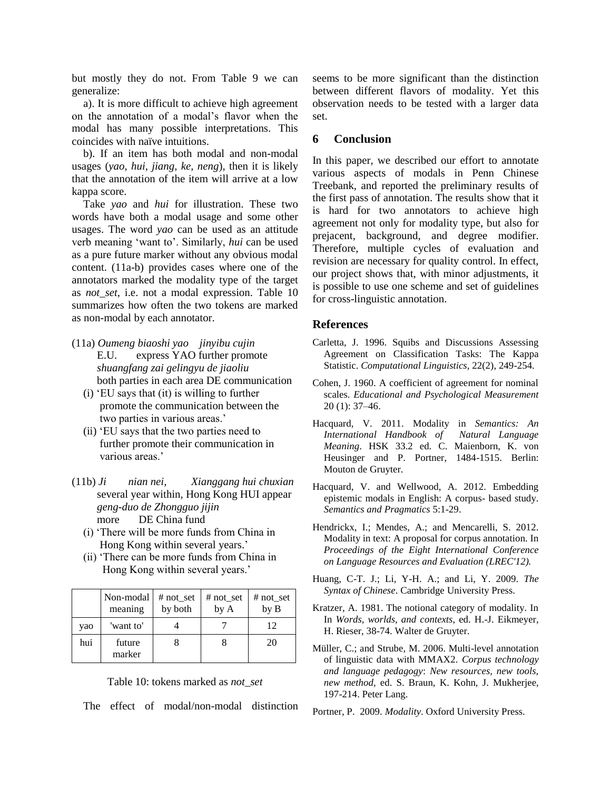but mostly they do not. From Table 9 we can generalize:

a). It is more difficult to achieve high agreement on the annotation of a modal"s flavor when the modal has many possible interpretations. This coincides with naïve intuitions.

b). If an item has both modal and non-modal usages (*yao, hui, jiang, ke, neng*), then it is likely that the annotation of the item will arrive at a low kappa score.

Take *yao* and *hui* for illustration. These two words have both a modal usage and some other usages. The word *yao* can be used as an attitude verb meaning "want to". Similarly, *hui* can be used as a pure future marker without any obvious modal content. (11a-b) provides cases where one of the annotators marked the modality type of the target as *not*\_*set*, i.e. not a modal expression. Table 10 summarizes how often the two tokens are marked as non-modal by each annotator.

- (11a) *Oumeng biaoshi yao jinyibu cujin* E.U. express YAO further promote *shuangfang zai gelingyu de jiaoliu* both parties in each area DE communication
	- (i) "EU says that (it) is willing to further promote the communication between the two parties in various areas.'
	- (ii) "EU says that the two parties need to further promote their communication in various areas.'
- (11b) *Ji nian nei, Xianggang hui chuxian* several year within, Hong Kong HUI appear  *geng-duo de Zhongguo jijin* more DE China fund
	- (i) "There will be more funds from China in Hong Kong within several years."
	- (ii) "There can be more funds from China in Hong Kong within several years.'

|     | Non-modal<br>meaning | $# not_set$<br>by both | # $not_set$<br>by A | # not_set<br>by B |
|-----|----------------------|------------------------|---------------------|-------------------|
| yao | 'want to'            |                        |                     | 12                |
| hui | future<br>marker     |                        |                     | 20                |

Table 10: tokens marked as *not\_set*

The effect of modal/non-modal distinction

seems to be more significant than the distinction between different flavors of modality. Yet this observation needs to be tested with a larger data set.

### **6 Conclusion**

In this paper, we described our effort to annotate various aspects of modals in Penn Chinese Treebank, and reported the preliminary results of the first pass of annotation. The results show that it is hard for two annotators to achieve high agreement not only for modality type, but also for prejacent, background, and degree modifier. Therefore, multiple cycles of evaluation and revision are necessary for quality control. In effect, our project shows that, with minor adjustments, it is possible to use one scheme and set of guidelines for cross-linguistic annotation.

# **References**

- Carletta, J. 1996. Squibs and Discussions Assessing Agreement on Classification Tasks: The Kappa Statistic. *Computational Linguistics*, 22(2), 249-254.
- Cohen, J. 1960. A coefficient of agreement for nominal scales. *Educational and Psychological Measurement* 20 (1): 37–46.
- Hacquard, V. 2011. Modality in *Semantics: An International Handbook of Natural Language Meaning*. HSK 33.2 ed. C. Maienborn, K. von Heusinger and P. Portner, 1484-1515. Berlin: Mouton de Gruyter.
- Hacquard, V. and Wellwood, A. 2012. Embedding epistemic modals in English: A corpus- based study. *Semantics and Pragmatics* 5:1-29.
- Hendrickx, I.; Mendes, A.; and Mencarelli, S. 2012. Modality in text: A proposal for corpus annotation. In *Proceedings of the Eight International Conference on Language Resources and Evaluation (LREC'12).*
- Huang, C-T. J.; Li, Y-H. A.; and Li, Y. 2009. *The Syntax of Chinese*. Cambridge University Press.
- Kratzer, A. 1981. The notional category of modality. In In *Words, worlds, and contexts*, ed. H.-J. Eikmeyer, H. Rieser, 38-74. Walter de Gruyter.
- Müller, C.; and Strube, M. 2006. Multi-level annotation of linguistic data with MMAX2. *Corpus technology and language pedagogy*: *New resources, new tools, new method,* ed. S. Braun, K. Kohn, J. Mukherjee, 197-214. Peter Lang.
- Portner, P. 2009. *Modality*. Oxford University Press.